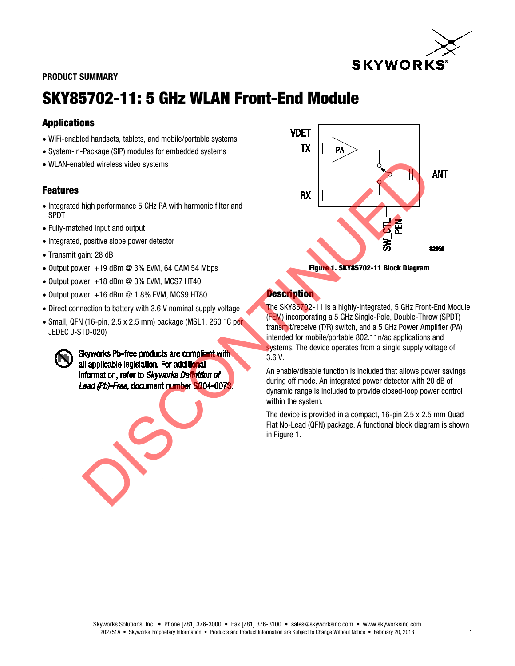

#### PRODUCT SUMMARY

# SKY85702-11: 5 GHz WLAN Front-End Module

### *4B*Applications

- WiFi-enabled handsets, tablets, and mobile/portable systems
- System-in-Package (SIP) modules for embedded systems
- WLAN-enabled wireless video systems

### **Features**

- Integrated high performance 5 GHz PA with harmonic filter and SPDT
- Fully-matched input and output
- Integrated, positive slope power detector
- Transmit gain: 28 dB
- Output power:  $+19$  dBm  $@$  3% EVM, 64 QAM 54 Mbps
- Output power: +18 dBm @ 3% EVM, MCS7 HT40
- $\bullet$  Output power:  $+16$  dBm  $@$  1.8% EVM, MCS9 HT80
- Direct connection to battery with 3.6 V nominal supply voltage
- Small, QFN (16-pin, 2.5 x 2.5 mm) package (MSL1, 260  $\degree$ C per JEDEC J-STD-020)







## **Description**

The SKY85702-11 is a highly-integrated, 5 GHz Front-End Module (FEM) incorporating a 5 GHz Single-Pole, Double-Throw (SPDT) transmit/receive (T/R) switch, and a 5 GHz Power Amplifier (PA) intended for mobile/portable 802.11n/ac applications and systems. The device operates from a single supply voltage of 3.6 V.

An enable/disable function is included that allows power savings during off mode. An integrated power detector with 20 dB of dynamic range is included to provide closed-loop power control within the system.

The device is provided in a compact, 16-pin 2.5 x 2.5 mm Quad Flat No-Lead (QFN) package. A functional block diagram is shown in Figure 1.